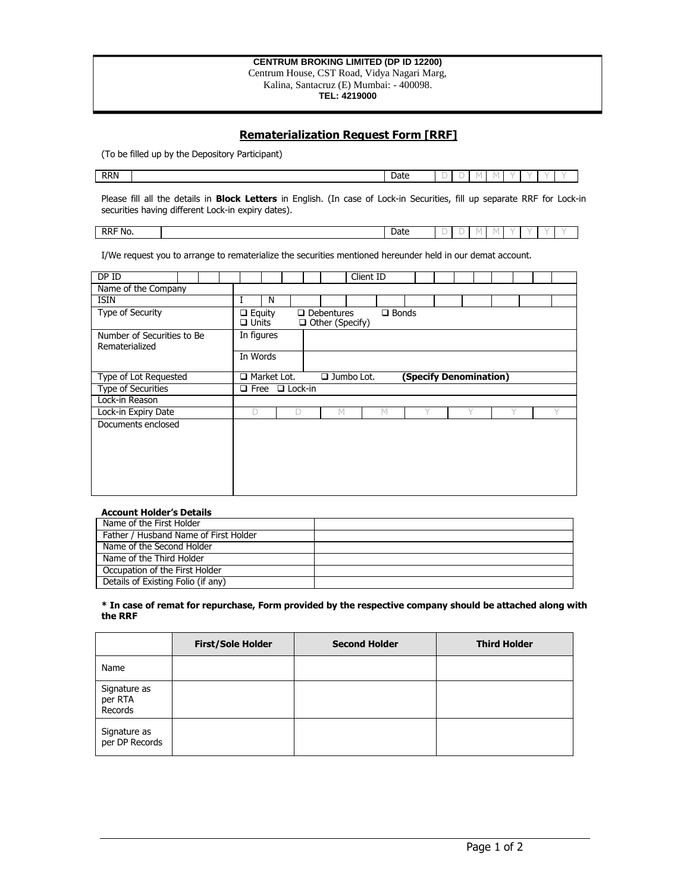#### **CENTRUM BROKING LIMITED (DP ID 12200)** Centrum House, CST Road, Vidya Nagari Marg, Kalina, Santacruz (E) Mumbai: - 400098. **TEL: 4219000**

# **Rematerialization Request Form [RRF]**

(To be filled up by the Depository Participant)

| <b>RRN</b><br>$\sim$<br>-<br>Date<br>$\sim$<br>$\sim$ |  |  |  |  |  |  |
|-------------------------------------------------------|--|--|--|--|--|--|
|                                                       |  |  |  |  |  |  |

Please fill all the details in **Block Letters** in English. (In case of Lock-in Securities, fill up separate RRF for Lock-in securities having different Lock-in expiry dates).

RRF No.  $\qquad$  |  $\qquad$  |  $\qquad$  |  $\qquad$  |  $\qquad$  |  $\qquad$  |  $\qquad$  |  $\qquad$  |  $\qquad$  |  $\qquad$  |  $\qquad$  |  $\qquad$  |  $\qquad$  |  $\qquad$  |  $\qquad$  |  $\qquad$  |  $\qquad$  |  $\qquad$  |  $\qquad$  |  $\qquad$  |  $\qquad$  |  $\qquad$  |  $\qquad$  |  $\qquad$  |  $\qquad$  |  $\qquad$  |  $\qquad$ 

I/We request you to arrange to rematerialize the securities mentioned hereunder held in our demat account.

| DPID                                         |                               |                                                            |   |                                             | Client ID |                            |  |  |  |  |  |  |  |  |  |  |  |  |  |
|----------------------------------------------|-------------------------------|------------------------------------------------------------|---|---------------------------------------------|-----------|----------------------------|--|--|--|--|--|--|--|--|--|--|--|--|--|
| Name of the Company                          |                               |                                                            |   |                                             |           |                            |  |  |  |  |  |  |  |  |  |  |  |  |  |
| <b>ISIN</b>                                  |                               | N                                                          |   |                                             |           |                            |  |  |  |  |  |  |  |  |  |  |  |  |  |
| Type of Security                             | $\Box$ Equity<br>$\Box$ Units |                                                            |   | $\Box$ Debentures<br>$\Box$ Other (Specify) |           | $\Box$ Bonds               |  |  |  |  |  |  |  |  |  |  |  |  |  |
| Number of Securities to Be<br>Rematerialized | In figures                    |                                                            |   |                                             |           |                            |  |  |  |  |  |  |  |  |  |  |  |  |  |
|                                              | In Words                      |                                                            |   |                                             |           |                            |  |  |  |  |  |  |  |  |  |  |  |  |  |
| Type of Lot Requested                        |                               | Market Lot.<br>$\Box$ Jumbo Lot.<br>(Specify Denomination) |   |                                             |           |                            |  |  |  |  |  |  |  |  |  |  |  |  |  |
|                                              |                               |                                                            |   |                                             |           | $\Box$ Free $\Box$ Lock-in |  |  |  |  |  |  |  |  |  |  |  |  |  |
| Type of Securities                           |                               |                                                            |   |                                             |           |                            |  |  |  |  |  |  |  |  |  |  |  |  |  |
| Lock-in Reason                               |                               |                                                            |   |                                             |           |                            |  |  |  |  |  |  |  |  |  |  |  |  |  |
| Lock-in Expiry Date                          | D                             |                                                            | D | M                                           |           | М                          |  |  |  |  |  |  |  |  |  |  |  |  |  |

### **Account Holder's Details**

| Name of the First Holder              |  |
|---------------------------------------|--|
| Father / Husband Name of First Holder |  |
| Name of the Second Holder             |  |
| Name of the Third Holder              |  |
| Occupation of the First Holder        |  |
| Details of Existing Folio (if any)    |  |

#### **\* In case of remat for repurchase, Form provided by the respective company should be attached along with the RRF**

|                                    | <b>First/Sole Holder</b> | <b>Second Holder</b> | <b>Third Holder</b> |
|------------------------------------|--------------------------|----------------------|---------------------|
| Name                               |                          |                      |                     |
| Signature as<br>per RTA<br>Records |                          |                      |                     |
| Signature as<br>per DP Records     |                          |                      |                     |